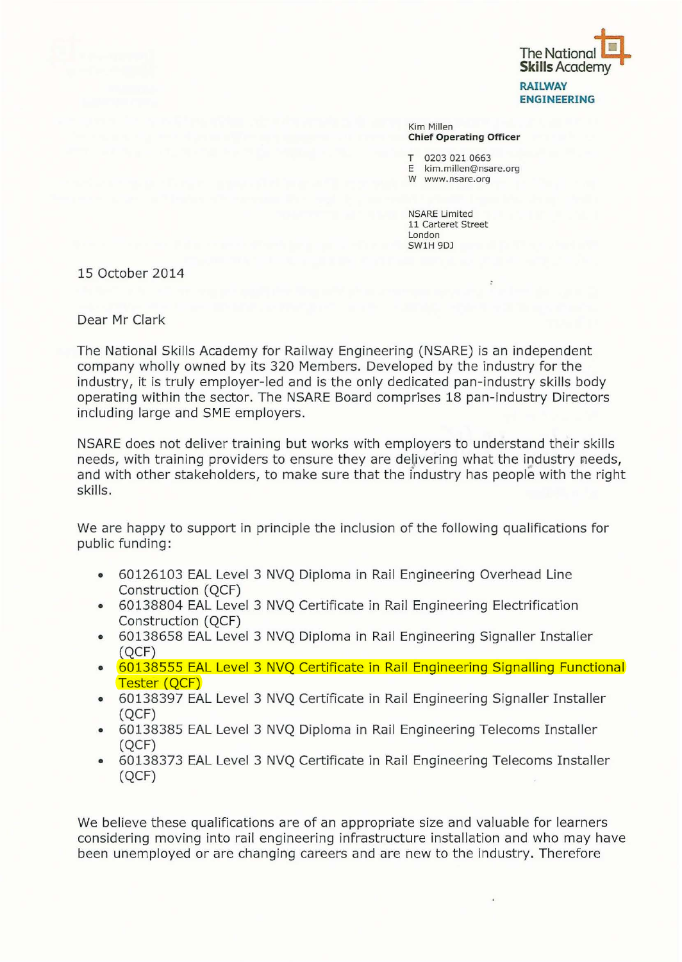

Kim Millen Chief Operating Officer

0203 021 0663

E kim.millen@nsare.org

W www.nsare.org

NSARE Limited 11 Carteret Street London SWlH 9DJ

15 October 2014

Dear Mr Clark

The National Skills Academy for Railway Engineering (NSARE) is an independent company wholly owned by its 320 Members. Developed by the industry for the industry, it is truly employer-led and is the only dedicated pan-industry skills body operating within the sector. The NSARE Board comprises 18 pan-industry Directors including large and SME employers.

NSARE does not deliver training but works with employers to understand their skills needs, with training providers to ensure they are delivering what the industry needs, and with other stakeholders, to make sure that the industry has people with the right skills.

We are happy to support in principle the inclusion of the following qualifications for public funding:

- 60126103 EAL Level 3 NVQ Diploma in Rail Engineering Overhead Line Construction (QCF)
- 60138804 EAL Level 3 NVQ Certificate in Rail Engineering Electrification Construction (QCF)
- 60138658 EAL Level 3 NVQ Diploma in Rail Engineering Signaller Installer (QCF)
- 60138555 EAL Level 3 NVQ Certificate in Rail Engineering Signalling Functional Tester (QCF)
- 60138397 EAL Level 3 NVQ Certificate in Rail Engineering Signaller Installer (QCF)
- 60138385 EAL Level 3 NVQ Diploma in Rail Engineering Telecoms Installer (QCF)
- 60138373 EAL Level 3 NVQ Certificate in Rail Engineering Telecoms Installer (QCF)

We believe these qualifications are of an appropriate size and valuable for learners considering moving into rail engineering infrastructure installation and who may have been unemployed or are changing careers and are new to the industry. Therefore